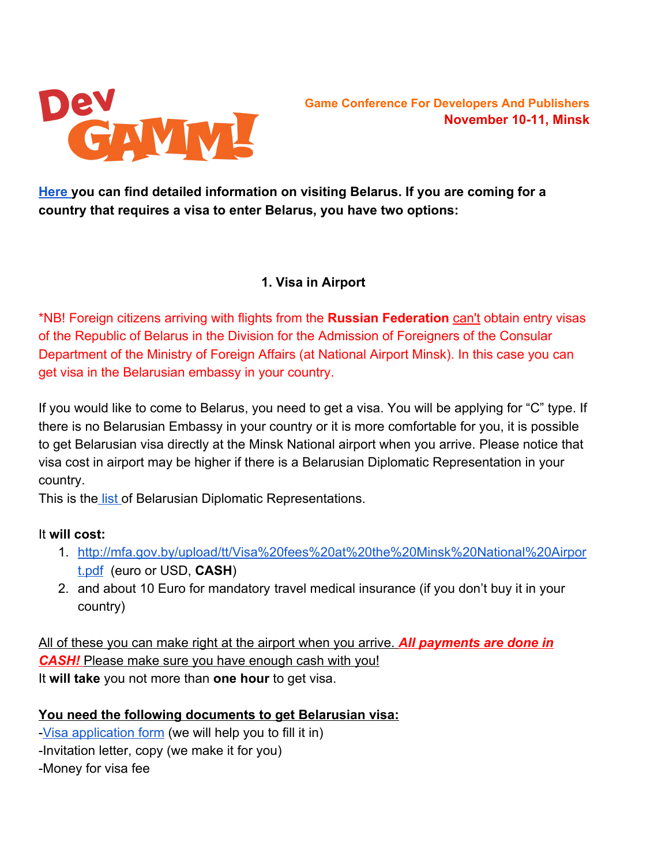

**[Here](http://mfa.gov.by/en/visa/) you can find detailed information on visiting Belarus. If you are coming for a country that requires a visa to enter Belarus, you have two options:**

### **1. Visa in Airport**

\*NB! Foreign citizens arriving with flights from the **Russian Federation** can't obtain entry visas of the Republic of Belarus in the Division for the Admission of Foreigners of the Consular Department of the Ministry of Foreign Affairs (at National Airport Minsk). In this case you can get visa in the Belarusian embassy in your country.

If you would like to come to Belarus, you need to get a visa. You will be applying for "C" type. If there is no Belarusian Embassy in your country or it is more comfortable for you, it is possible to get Belarusian visa directly at the Minsk National airport when you arrive. Please notice that visa cost in airport may be higher if there is a Belarusian Diplomatic Representation in your country.

This is th[e list](http://www.embassypages.com/belarus) of Belarusian Diplomatic Representations.

## It **will cost:**

- 1. [http://mfa.gov.by/upload/tt/Visa%20fees%20at%20the%20Minsk%20National%20Airpor](http://mfa.gov.by/upload/tt/Visa%20fees%20at%20the%20Minsk%20National%20Airport.pdf) [t.pdf](http://mfa.gov.by/upload/tt/Visa%20fees%20at%20the%20Minsk%20National%20Airport.pdf)  (euro or USD, **CASH**)
- 2. and about 10 Euro for mandatory travel medical insurance (if you don't buy it in your country)

All of these you can make right at the airport when you arrive. *All payments are done in CASH!* Please make sure you have enough cash with you! It **will take** you not more than **one hour** to get visa.

## **You need the following documents to get Belarusian visa:**

[Visa application form](http://mfa.gov.by/en/visa/info/visa-applications.html) (we will help you to fill it in) Invitation letter, copy (we make it for you) Money for visa fee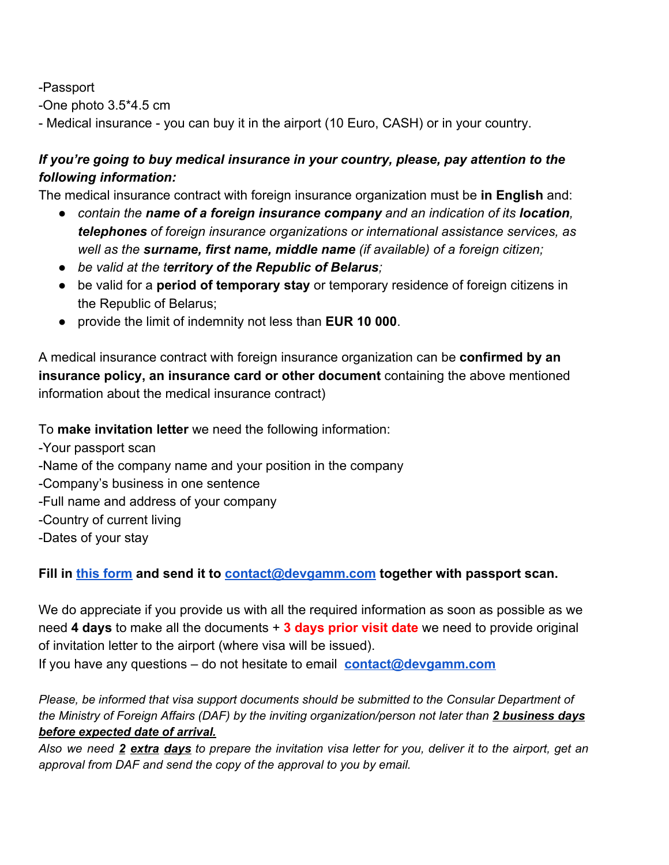Passport

One photo 3.5\*4.5 cm

- Medical insurance - you can buy it in the airport (10 Euro, CASH) or in your country.

# *If you're going to buy medical insurance in your country, please, pay attention to the following information:*

The medical insurance contract with foreign insurance organization must be **in English** and:

- *сontain the name of a foreign insurance company and an indication of its location, telephones of foreign insurance organizations or international assistance services, as well as the surname, first name, middle name (if available) of a foreign citizen;*
- *be valid at the t erritory of the Republic of Belarus;*
- be valid for a **period of temporary stay** or temporary residence of foreign citizens in the Republic of Belarus;
- provide the limit of indemnity not less than **EUR 10 000**.

A medical insurance contract with foreign insurance organization can be **confirmed by an insurance policy, an insurance card or other document** containing the above mentioned information about the medical insurance contract)

To **make invitation letter** we need the following information:

Your passport scan Name of the company name and your position in the company Company's business in one sentence Full name and address of your company Country of current living Dates of your stay

## **Fill in [this form](http://devgamm.com/minsk2016/wp-content/uploads/2016/08/Visa-Invitation-Request_Belarus.doc) and send it to [contact@devgamm.com](mailto:contact@devgamm.com) together with passport scan.**

We do appreciate if you provide us with all the required information as soon as possible as we need **4 days** to make all the documents + **3 days prior visit date** we need to provide original of invitation letter to the airport (where visa will be issued).

If you have any questions – do not hesitate to email **[contact@devgamm.com](mailto:contact@devgamm.com)**

*Please, be informed that visa support documents should be submitted to the Consular Department of the Ministry of Foreign Affairs (DAF) by the inviting organization/person not later than 2 business days before expected date of arrival.*

Also we need 2 extra days to prepare the invitation visa letter for you, deliver it to the airport, get an *approval from DAF and send the copy of the approval to you by email.*